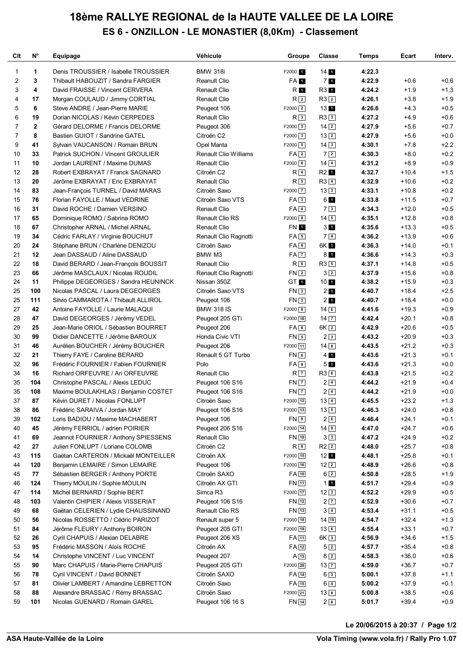## **18ème RALLYE REGIONAL de la HAUTE VALLEE DE LA LOIRE ES 6 - ONZILLON - LE MONASTIER (8,0Km) - Classement**

| Clt                     | N°                      | Equipage                             | Véhicule                     | Groupe                 | <b>Classe</b>      | Temps  | Ecart   | Interv. |
|-------------------------|-------------------------|--------------------------------------|------------------------------|------------------------|--------------------|--------|---------|---------|
| 1                       | 1                       | Denis TROUSSIER / Isabelle TROUSSIER | <b>BMW 318i</b>              | F2000 1                | 14 <sub>1</sub>    | 4:22.3 |         |         |
| $\overline{\mathbf{c}}$ | 3                       | Thibault HABOUZIT / Sandra FARGIER   | <b>Reanult Clio</b>          | FA <sub>1</sub>        | 7 <sub>1</sub>     | 4:22.9 | $+0.6$  | $+0.6$  |
| 3                       | 4                       | David FRAISSE / Vincent CERVERA      | <b>Renault Clio</b>          | R 1                    | R3 1               | 4:24.2 | $+1.9$  | $+1.3$  |
| 4                       | 17                      | Morgan COULAUD / Jimmy CORTIAL       | <b>Renault Clio</b>          | R <sub>2</sub>         | $R3$ <sup>2</sup>  | 4:26.1 | $+3.8$  | $+1.9$  |
| 5                       | 6                       | Steve ANDRE / Jean-Pierre MARIE      | Peugeot 106                  | $F2000$ $2$            | 13 <sub>1</sub>    | 4:26.6 | $+4.3$  | $+0.5$  |
| 6                       | 19                      | Dorian NICOLAS / Kévin CERPEDES      | <b>Renault Clio</b>          | R3                     | R33                | 4:27.2 | $+4.9$  | $+0.6$  |
| 7                       | $\overline{\mathbf{2}}$ | Gérard DELORME / Francis DELORME     | Peugeot 306                  | $F2000$ 3              | $14$ $2$           | 4:27.9 | $+5.6$  | $+0.7$  |
| 7                       | 8                       | Bastien GUIOT / Sandrine GATEL       | Citroën C2                   | $F2000$ 3              | $13$ $2$           | 4:27.9 | $+5.6$  | $+0.0$  |
| 9                       | 41                      | Sylvain VAUCANSON / Romain BRUN      | Opel Manta                   | $F2000$ 5              | $14\sqrt{3}$       | 4:30.1 | $+7.8$  | $+2.2$  |
| 10                      | 33                      | Patrick SUCHON / Vincent GROULIER    | <b>Renault Clio Williams</b> | $FA\sqrt{2}$           | 72                 | 4:30.3 | $+8.0$  | $+0.2$  |
| 11                      | 10                      | Jordan LAURENT / Maxime DUMAS        | <b>Renault Clio</b>          | $F2000$ 6              | $14\sqrt{4}$       | 4:31.2 | $+8.9$  | $+0.9$  |
| 12                      | 28                      | Robert EXBRAYAT / Franck SAGNARD     | Citroën C2                   | R <sub>4</sub>         | R2 1               | 4:32.7 | $+10.4$ | $+1.5$  |
| 13                      | 20                      | Jérôme EXBRAYAT / Eric EXBRAYAT      | <b>Renault Clio</b>          | $R_{5}$                | $R3$ <sup>4</sup>  | 4:32.9 | $+10.6$ | $+0.2$  |
| 14                      | 83                      | Jean-François TURNEL / David MARAS   | Citroën Saxo                 | $F2000$ $7$            | 133                | 4:33.1 | $+10.8$ | $+0.2$  |
| 15                      | 76                      | Florian FAYOLLE / Maud VEDRINE       | Citroën Saxo VTS             | FA3                    | 61                 | 4:33.8 | $+11.5$ | $+0.7$  |
| 16                      | 31                      | David ROCHE / Damien VERSINO         | <b>Renault Clio</b>          | $FA$ 4                 | 73                 | 4:34.3 | $+12.0$ | $+0.5$  |
| 17                      | 65                      | Dominique ROMO / Sabrina ROMO        | Renault Clio RS              | $F2000$ 8              | $14\boxed{5}$      | 4:35.1 | $+12.8$ | $+0.8$  |
| 18                      | 67                      | Christopher ARNAL / Michel ARNAL     | <b>Renault Clio</b>          | <b>FN 1</b>            | 3 <sub>1</sub>     | 4:35.6 | $+13.3$ | $+0.5$  |
| 19                      | 34                      | Cédric FARLAY / Virginie BOUCHUT     | Renault Clio Ragnotti        | $FA \,   \, 5 \rangle$ | $7\vert 4\rangle$  | 4:36.2 | $+13.9$ | $+0.6$  |
| 20                      | 24                      | Stéphane BRUN / Charlène DENIZOU     | Citroën Saxo                 | FA6                    | 6K 1               | 4:36.3 | $+14.0$ | $+0.1$  |
| 21                      | 12                      | Jean DASSAUD / Aline DASSAUD         | BMW M3                       | $FA$ $7$               | 8 <sub>1</sub>     | 4:36.6 | $+14.3$ | $+0.3$  |
| 22                      | 18                      | David BERARD / Jean-François BOUSSIT | <b>Renault Clio</b>          | $R_{6}$                | $R3$ 5             | 4:37.1 | $+14.8$ | $+0.5$  |
| 23                      | 66                      | Jérôme MASCLAUX / Nicolas ROUDIL     | Renault Clio Ragnotti        | FN <sub>2</sub>        | 32                 | 4:37.9 | $+15.6$ | $+0.8$  |
| 24                      | 11                      | Philippe DEGEORGES / Sandra HEUNINCK | Nissan 350Z                  | GT 1                   | 10 <sub>1</sub>    | 4:38.2 | $+15.9$ | $+0.3$  |
| 25                      | 100                     | Nicolas PASCAL / Laura DEGEORGES     | Citroën Saxo VTS             | FN3                    | 2 <sub>1</sub>     | 4:40.7 | $+18.4$ | $+2.5$  |
| 25                      | 111                     | Silvio CAMMAROTA / Thibault ALLIROL  | Peugeot 106                  | FN3                    | 2 <sub>1</sub>     | 4:40.7 | $+18.4$ | $+0.0$  |
| 27                      | 42                      | Antoine FAYOLLE / Laurie MALAQUI     | <b>BMW 318 IS</b>            | $F2000$ 9              | $14\sqrt{6}$       | 4:41.6 | $+19.3$ | $+0.9$  |
| 28                      | 47                      | David DEGEORGES / Jérémy VEDEL       | Peugeot 205 GTi              | $F2000$ 10             | $14$ $\boxed{7}$   | 4:42.4 | $+20.1$ | $+0.8$  |
| 29                      | 25                      | Jean-Marie ORIOL / Sébastien BOURRET | Peugeot 206                  | FA8                    | $6K$ $2$           | 4:42.9 | $+20.6$ | $+0.5$  |
| 30                      | 99                      | Didier DANCETTE / Jérôme BAROUX      | Honda Civic VTI              | $FN$ 5                 | 23                 | 4:43.2 | $+20.9$ | $+0.3$  |
| 31                      | 46                      | Aurélien BOUCHER / Jérémy BOUCHER    | Peugeot 206                  | F2000 11               | $14 \overline{8}$  | 4:43.5 | $+21.2$ | $+0.3$  |
| 32                      | 21                      | Thierry FAYE / Caroline BERARD       | Renault 5 GT Turbo           | FN6                    | $4$ $\blacksquare$ | 4:43.6 | $+21.3$ | $+0.1$  |
| 32                      | 96                      | Frédéric FOURNIER / Fabien FOURNIER  | Polo                         | $FA$ <sup>9</sup>      | 51                 | 4:43.6 | $+21.3$ | $+0.0$  |
| 34                      | 16                      | Richard ORFEUVRE / Ari ORFEUVRE      | <b>Renault Clio</b>          | $R$ $7$                | R36                | 4:43.8 | $+21.5$ | $+0.2$  |
| 35                      | 104                     | Christophe PASCAL / Alexis LEDUC     | Peugeot 106 S16              | $FN$ $7$               | $2\sqrt{4}$        | 4:44.2 | $+21.9$ | $+0.4$  |
| 35                      | 108                     | Maxime BOULAKHLAS / Benjamin COSTET  | Peugeot 106 S16              | $FN$ $7$               | $2\sqrt{4}$        | 4:44.2 | $+21.9$ | $+0.0$  |
| 37                      | 87                      | Kévin DURET / Nicolas FONLUPT        | Citroën Saxo                 | F2000 12               | $13\vert 4$        | 4:45.5 | $+23.2$ | $+1.3$  |
| 38                      | 86                      | Frédéric SARAIVA / Jordan MAY        | Peugeot 106 S16              | $F2000$ 13             | $13\boxed{5}$      | 4:46.3 | $+24.0$ | $+0.8$  |
| 39                      | 102                     | Loris BADIOU / Maxime MACHABERT      | Peugeot 106                  | FN <sub>9</sub>        | 26                 | 4:46.4 | $+24.1$ | $+0.1$  |
| 40                      | 45                      | Jérémy FERRIOL / adrien POIRIER      | Peugeot 206 S16              | $F2000$ 14             | $14$ 9             | 4:47.0 | $+24.7$ | $+0.6$  |
| 41                      | 69                      | Jeannot FOURNIER / Anthony SPIESSENS | Renault Clio                 | <b>FN</b> 10           | 3 <sup>3</sup>     | 4:47.2 | $+24.9$ | $+0.2$  |
| 42                      | 27                      | Julien FONLUPT / Loriane COLOMB      | Citroën C2                   | $R_{8}$                | $R2$ $2$           | 4:48.0 | $+25.7$ | $+0.8$  |
| 43                      | 115                     | Gaëtan CARTERON / Mickaël MONTEILLER | Citroën AX                   | $F2000$ 15             | 12 <sub>1</sub>    | 4:48.1 | $+25.8$ | $+0.1$  |
| 44                      | 120                     | Benjamin LEMAIRE / Simon LEMAIRE     | Peugeot 106                  | $F2000$ 16             | $12\sqrt{2}$       | 4:48.9 | $+26.6$ | $+0.8$  |
| 45                      | 77                      | Sébastien BERGER / Anthony PORTE     | Citroën SAXO                 | $FA$ 10                | $6\sqrt{2}$        | 4:50.8 | $+28.5$ | $+1.9$  |
| 46                      | 124                     | Thierry MOULIN / Sophie MOULIN       | Citroën AX GTI               | FN 11                  | $1$ $1$            | 4:51.7 | $+29.4$ | $+0.9$  |
| 47                      | 114                     | Michel BERNARD / Sophie BERT         | Simca R3                     | F2000 17               | 123                | 4:52.2 | $+29.9$ | $+0.5$  |
| 48                      | 103                     | Valentin CHIPIER / Alexis VISSERIAT  | Peugeot 106 S16              | FN 12                  | $2\sqrt{7}$        | 4:52.9 | $+30.6$ | $+0.7$  |
| 49                      | 68                      | Gaëtan CELERIEN / Lydie CHAUSSINAND  | Renault Clio RS              | FN 13                  | $3\sqrt{4}$        | 4:53.4 | $+31.1$ | $+0.5$  |
| 50                      | 56                      | Nicolas ROSSETTO / Cédric PARIZOT    | Renault super 5              | F2000 18               | $14$ $10$          | 4:54.7 | $+32.4$ | $+1.3$  |
| 51                      | 84                      | Jérôme FLEURY / Anthony BOIRON       | Peugeot 205 GTI              | $F2000$ 19             | $13$ 6             | 4:55.4 | $+33.1$ | $+0.7$  |
| 52                      | 26                      | Cyril CHAPUIS / Alexian DELABRE      | Peugeot 206 XS               | FA 11                  | 6K <sub>3</sub>    | 4:56.9 | $+34.6$ | $+1.5$  |
| 53                      | 95                      | Frédéric MASSON / Aloïs ROCHE        | Citroën AX                   | $FA$ <sup>12</sup>     | 52                 | 4:57.7 | $+35.4$ | $+0.8$  |
| 54                      | 14                      | Christophe VINCENT / Luc VINCENT     | Peugeot 207                  | $A$ 13                 | $8\sqrt{2}$        | 4:58.3 | $+36.0$ | $+0.6$  |
| 55                      | 90                      | Marc CHAPUIS / Marie-Pierre CHAPUIS  | Peugeot 205 GTI              | $F2000$ 20             | $13\overline{7}$   | 4:59.0 | $+36.7$ | $+0.7$  |
| 56                      | 78                      | Cyril VINCENT / David BONNET         | Citroën SAXO                 | FA 14                  | $6\sqrt{3}$        | 5:00.1 | $+37.8$ | $+1.1$  |
| 57                      | 81                      | Olivier LAMBERT / Amandine LEBRETTON | Citroën Saxo                 | FA 15                  | $6\sqrt{4}$        | 5:00.2 | $+37.9$ | $+0.1$  |
| 58                      | 88                      | Alexandre BRASSAC / Rémy BRASSAC     | Citroën Saxo                 | F2000 21               | $13$ $8$           | 5:00.8 | $+38.5$ | $+0.6$  |
| 59                      | 101                     | Nicolas GUENARD / Romain GAREL       | Peugeot 106 16 S             | <b>FN</b> 14           | 2 <sup>8</sup>     | 5:01.7 | $+39.4$ | $+0.9$  |

<u>Volanda variante de la provincia de la provincia de la provincia de la provincia de la provincia de la provincia de la provincia de la provincia de la provincia de la provincia de la provincia de la provincia de la provin</u> **Le 20/06/2015 à 20:37 / Page 1/2**